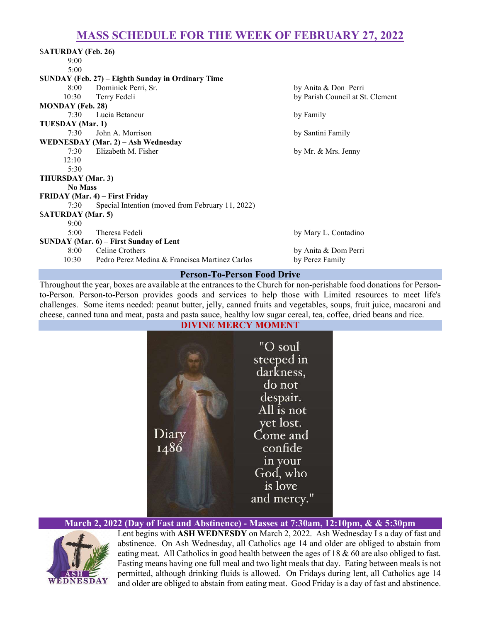# MASS SCHEDULE FOR THE WEEK OF FEBRUARY 27, 2022

| <b>SATURDAY</b> (Feb. 26)                         |                                                  |                                  |
|---------------------------------------------------|--------------------------------------------------|----------------------------------|
| 9:00                                              |                                                  |                                  |
| 5:00                                              |                                                  |                                  |
| SUNDAY (Feb. 27) – Eighth Sunday in Ordinary Time |                                                  |                                  |
| $8:00^{-}$                                        | Dominick Perri, Sr.                              | by Anita & Don Perri             |
| 10:30                                             | Terry Fedeli                                     | by Parish Council at St. Clement |
| <b>MONDAY</b> (Feb. 28)                           |                                                  |                                  |
| 7:30                                              | Lucia Betancur                                   | by Family                        |
| TUESDAY (Mar. 1)                                  |                                                  |                                  |
| 7:30                                              | John A. Morrison                                 | by Santini Family                |
| WEDNESDAY (Mar. 2) - Ash Wednesday                |                                                  |                                  |
|                                                   | 7:30 Elizabeth M. Fisher                         | by Mr. & Mrs. Jenny              |
| 12:10                                             |                                                  |                                  |
| 5:30                                              |                                                  |                                  |
| THURSDAY (Mar. 3)                                 |                                                  |                                  |
| <b>No Mass</b>                                    |                                                  |                                  |
| FRIDAY (Mar. 4) – First Friday                    |                                                  |                                  |
| 7:30                                              | Special Intention (moved from February 11, 2022) |                                  |
| <b>SATURDAY</b> (Mar. 5)                          |                                                  |                                  |
| 9:00                                              |                                                  |                                  |
| 5:00                                              | Theresa Fedeli                                   | by Mary L. Contadino             |
| SUNDAY (Mar. 6) – First Sunday of Lent            |                                                  |                                  |
| 8:00                                              | Celine Crothers                                  | by Anita & Dom Perri             |
| 10:30                                             | Pedro Perez Medina & Francisca Martinez Carlos   | by Perez Family                  |

### Person-To-Person Food Drive

Throughout the year, boxes are available at the entrances to the Church for non-perishable food donations for Personto-Person. Person-to-Person provides goods and services to help those with Limited resources to meet life's challenges. Some items needed: peanut butter, jelly, canned fruits and vegetables, soups, fruit juice, macaroni and cheese, canned tuna and meat, pasta and pasta sauce, healthy low sugar cereal, tea, coffee, dried beans and rice.

# DIVINE MERCY MOMENT "O soul steeped in darkness, do not despair. All is not yet lost. Diary Come and 1486 confide in your God, who is love and mercy."

March 2, 2022 (Day of Fast and Abstinence) - Masses at 7:30am, 12:10pm, & & 5:30pm



Lent begins with ASH WEDNESDY on March 2, 2022. Ash Wednesday I s a day of fast and abstinence. On Ash Wednesday, all Catholics age 14 and older are obliged to abstain from eating meat. All Catholics in good health between the ages of 18 & 60 are also obliged to fast. Fasting means having one full meal and two light meals that day. Eating between meals is not permitted, although drinking fluids is allowed. On Fridays during lent, all Catholics age 14 and older are obliged to abstain from eating meat. Good Friday is a day of fast and abstinence.